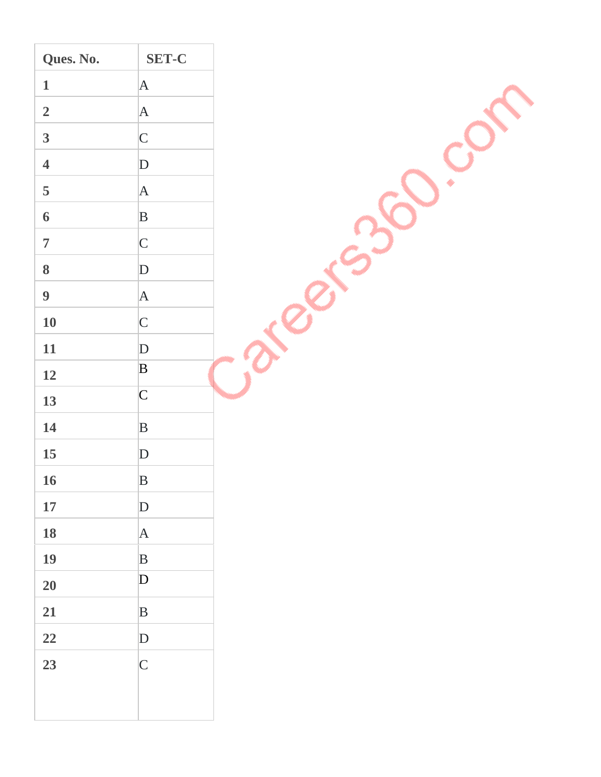| $\mathbf{A}$<br>$\mathbf{1}$<br>$\overline{2}$<br>$\mathbf{A}$<br>$\overline{\mathbf{3}}$<br>$\mathsf{C}$<br>$\overline{\mathbf{4}}$<br>D<br>5<br>$\mathbf{A}$<br>$\, {\bf B}$<br>$\boldsymbol{6}$<br>$\overline{7}$<br>$\mathsf{C}$<br>$\bf{8}$<br>D<br>$\boldsymbol{9}$<br>$\mathbf{A}$<br><b>10</b><br>$\mathsf{C}$<br><b>11</b><br>${\bf D}$<br>$\, {\bf B}$<br>12<br>$\mathsf{C}$<br>13<br>14<br>$\, {\bf B}$<br>15<br>${\bf D}$<br>16<br>$\, {\bf B}$<br>$17\,$<br>$\mathbf D$<br>${\bf 18}$<br> A <br>19<br>$\mathbf B$<br>$\mathbf{D}$<br>20<br>21<br>$\, {\bf B}$<br>$\bf{22}$<br>$\mathbf{D}$<br>23<br>$\mathsf{C}$ | Ques. No. | <b>SET-C</b> |  |
|-------------------------------------------------------------------------------------------------------------------------------------------------------------------------------------------------------------------------------------------------------------------------------------------------------------------------------------------------------------------------------------------------------------------------------------------------------------------------------------------------------------------------------------------------------------------------------------------------------------------------------|-----------|--------------|--|
|                                                                                                                                                                                                                                                                                                                                                                                                                                                                                                                                                                                                                               |           |              |  |
|                                                                                                                                                                                                                                                                                                                                                                                                                                                                                                                                                                                                                               |           |              |  |
|                                                                                                                                                                                                                                                                                                                                                                                                                                                                                                                                                                                                                               |           |              |  |
|                                                                                                                                                                                                                                                                                                                                                                                                                                                                                                                                                                                                                               |           |              |  |
|                                                                                                                                                                                                                                                                                                                                                                                                                                                                                                                                                                                                                               |           |              |  |
|                                                                                                                                                                                                                                                                                                                                                                                                                                                                                                                                                                                                                               |           |              |  |
|                                                                                                                                                                                                                                                                                                                                                                                                                                                                                                                                                                                                                               |           |              |  |
|                                                                                                                                                                                                                                                                                                                                                                                                                                                                                                                                                                                                                               |           |              |  |
|                                                                                                                                                                                                                                                                                                                                                                                                                                                                                                                                                                                                                               |           |              |  |
|                                                                                                                                                                                                                                                                                                                                                                                                                                                                                                                                                                                                                               |           |              |  |
|                                                                                                                                                                                                                                                                                                                                                                                                                                                                                                                                                                                                                               |           |              |  |
|                                                                                                                                                                                                                                                                                                                                                                                                                                                                                                                                                                                                                               |           |              |  |
|                                                                                                                                                                                                                                                                                                                                                                                                                                                                                                                                                                                                                               |           |              |  |
|                                                                                                                                                                                                                                                                                                                                                                                                                                                                                                                                                                                                                               |           |              |  |
|                                                                                                                                                                                                                                                                                                                                                                                                                                                                                                                                                                                                                               |           |              |  |
|                                                                                                                                                                                                                                                                                                                                                                                                                                                                                                                                                                                                                               |           |              |  |
|                                                                                                                                                                                                                                                                                                                                                                                                                                                                                                                                                                                                                               |           |              |  |
|                                                                                                                                                                                                                                                                                                                                                                                                                                                                                                                                                                                                                               |           |              |  |
|                                                                                                                                                                                                                                                                                                                                                                                                                                                                                                                                                                                                                               |           |              |  |
|                                                                                                                                                                                                                                                                                                                                                                                                                                                                                                                                                                                                                               |           |              |  |
|                                                                                                                                                                                                                                                                                                                                                                                                                                                                                                                                                                                                                               |           |              |  |
|                                                                                                                                                                                                                                                                                                                                                                                                                                                                                                                                                                                                                               |           |              |  |
|                                                                                                                                                                                                                                                                                                                                                                                                                                                                                                                                                                                                                               |           |              |  |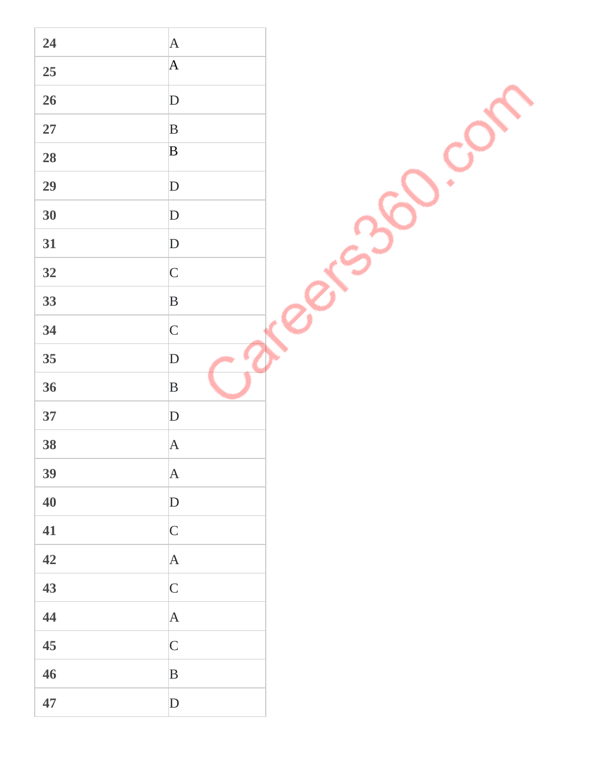| 24         | A                                                                                                                                                                                                                                                                                                                                                                                                                                                        |  |
|------------|----------------------------------------------------------------------------------------------------------------------------------------------------------------------------------------------------------------------------------------------------------------------------------------------------------------------------------------------------------------------------------------------------------------------------------------------------------|--|
| 25         | $\mathsf{A}% _{T}=\mathsf{A}_{T}\!\left( a,b\right) ,\ \mathsf{A}_{T}=\mathsf{A}_{T}\!\left( a,b\right) ,\ \mathsf{A}_{T}=\mathsf{A}_{T}\!\left( a,b\right) ,\ \mathsf{A}_{T}=\mathsf{A}_{T}\!\left( a,b\right) ,\ \mathsf{A}_{T}=\mathsf{A}_{T}\!\left( a,b\right) ,\ \mathsf{A}_{T}=\mathsf{A}_{T}\!\left( a,b\right) ,\ \mathsf{A}_{T}=\mathsf{A}_{T}\!\left( a,b\right) ,\ \mathsf{A}_{T}=\mathsf{A}_{T}\!\left( a,b\right) ,\ \mathsf{A}_{T}=\math$ |  |
|            |                                                                                                                                                                                                                                                                                                                                                                                                                                                          |  |
| 26         | $\mathbf{D}$                                                                                                                                                                                                                                                                                                                                                                                                                                             |  |
| ${\bf 27}$ | $\, {\bf B}$                                                                                                                                                                                                                                                                                                                                                                                                                                             |  |
| 28         | $\mathbf B$                                                                                                                                                                                                                                                                                                                                                                                                                                              |  |
| 29         | $\mathbf{D}$                                                                                                                                                                                                                                                                                                                                                                                                                                             |  |
| 30         | $\mathbf{D}$                                                                                                                                                                                                                                                                                                                                                                                                                                             |  |
| 31         | ${\bf D}$                                                                                                                                                                                                                                                                                                                                                                                                                                                |  |
| 32         | $\mathsf{C}$                                                                                                                                                                                                                                                                                                                                                                                                                                             |  |
| 33         | $\, {\bf B}$                                                                                                                                                                                                                                                                                                                                                                                                                                             |  |
| 34         | $\mathsf C$                                                                                                                                                                                                                                                                                                                                                                                                                                              |  |
| 35         | $\mathbf{D}$                                                                                                                                                                                                                                                                                                                                                                                                                                             |  |
| 36         | $\, {\bf B}$                                                                                                                                                                                                                                                                                                                                                                                                                                             |  |
| 37         | $\mathbf{D}$                                                                                                                                                                                                                                                                                                                                                                                                                                             |  |
| 38         | $\mathbf{A}$                                                                                                                                                                                                                                                                                                                                                                                                                                             |  |
| 39         | $\mathbf{A}$                                                                                                                                                                                                                                                                                                                                                                                                                                             |  |
| 40         | $\mathbf{D}$                                                                                                                                                                                                                                                                                                                                                                                                                                             |  |
| 41         | $\mathsf{C}$                                                                                                                                                                                                                                                                                                                                                                                                                                             |  |
| 42         | A                                                                                                                                                                                                                                                                                                                                                                                                                                                        |  |
| 43         | $\mathsf{C}$                                                                                                                                                                                                                                                                                                                                                                                                                                             |  |
| 44         | A                                                                                                                                                                                                                                                                                                                                                                                                                                                        |  |
| 45         | $\mathsf{C}$                                                                                                                                                                                                                                                                                                                                                                                                                                             |  |
| 46         | $\, {\bf B}$                                                                                                                                                                                                                                                                                                                                                                                                                                             |  |
| 47         | D                                                                                                                                                                                                                                                                                                                                                                                                                                                        |  |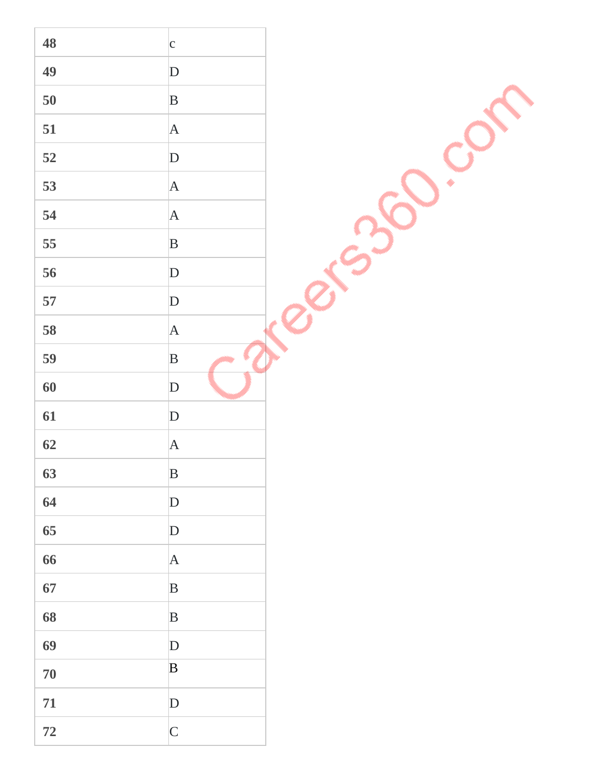| 48   | $\mathbf{c}$ |  |
|------|--------------|--|
| 49   | D            |  |
| 50   | $\, {\bf B}$ |  |
| 51   | $\mathbf{A}$ |  |
| 52   | $\mathbf{D}$ |  |
| 53   | A            |  |
| 54   | A            |  |
| 55   | $\, {\bf B}$ |  |
| 56   | ${\bf D}$    |  |
| 57   | ${\bf D}$    |  |
| 58   | A            |  |
| 59   | $\, {\bf B}$ |  |
| 60   | ${\bf D}$    |  |
| 61   | $\mathbf{D}$ |  |
| 62   | $\mathbf{A}$ |  |
| 63   | $\, {\bf B}$ |  |
| 64   | $\mathbf{D}$ |  |
| 65   | $\mathbf{D}$ |  |
| 66   | A            |  |
| 67   | $\, {\bf B}$ |  |
| 68   | $\, {\bf B}$ |  |
| 69   | D            |  |
| 70   | $\mathbf B$  |  |
| 71   | $\mathbf{D}$ |  |
| $72$ | $\mathsf{C}$ |  |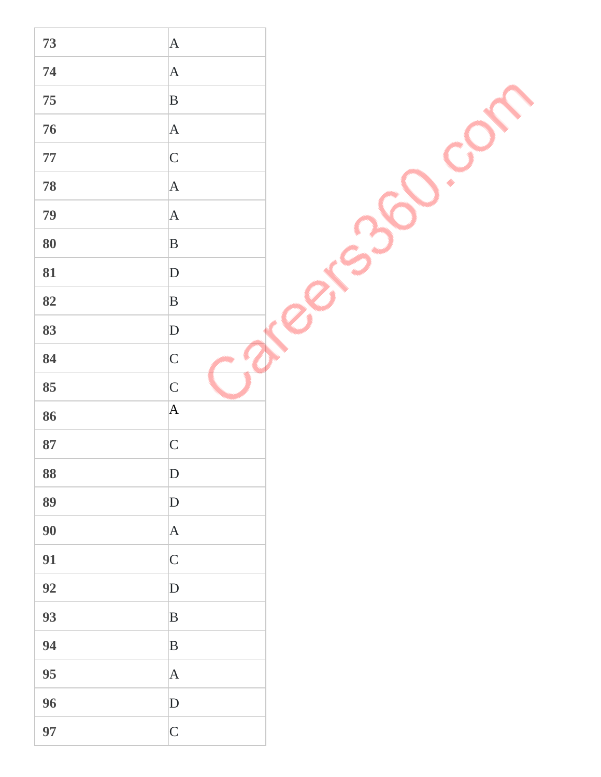| 73     | $\vert$ A       |  |
|--------|-----------------|--|
| 74     | $\mathbf A$     |  |
| 75     |                 |  |
|        | $\mathbf B$     |  |
| 76     | $\vert A \vert$ |  |
| $77\,$ | $\overline{C}$  |  |
| 78     | $\mathbf{A}$    |  |
| 79     | $\mathbf{A}$    |  |
| 80     | $\mathbf B$     |  |
| 81     | $\mathbf D$     |  |
| 82     | $\, {\bf B}$    |  |
| 83     | ${\bf D}$       |  |
| 84     | $\mathsf{C}$    |  |
| 85     | $\mathsf{C}$    |  |
| 86     | $\mathbf A$     |  |
| 87     | $\overline{C}$  |  |
| 88     | $\mathbf D$     |  |
| 89     | $\mathbf D$     |  |
| 90     | $\vert$ A       |  |
| 91     | $\mathsf{C}$    |  |
| 92     | $\mathbf D$     |  |
| 93     | $\, {\bf B}$    |  |
| 94     | $\, {\bf B}$    |  |
| 95     | $\mathbf A$     |  |
| 96     | ${\bf D}$       |  |
| 97     | $\mathsf{C}$    |  |